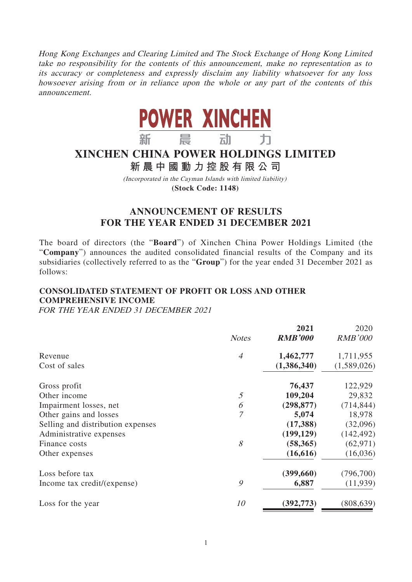Hong Kong Exchanges and Clearing Limited and The Stock Exchange of Hong Kong Limited take no responsibility for the contents of this announcement, make no representation as to its accuracy or completeness and expressly disclaim any liability whatsoever for any loss howsoever arising from or in reliance upon the whole or any part of the contents of this announcement.



# **XINCHEN CHINA POWER HOLDINGS LIMITED**

**新晨中國動力控股有限公 司**

(Incorporated in the Cayman Islands with limited liability) **(Stock Code: 1148)**

# **ANNOUNCEMENT OF RESULTS FOR THE YEAR ENDED 31 DECEMBER 2021**

The board of directors (the "**Board**") of Xinchen China Power Holdings Limited (the "**Company**") announces the audited consolidated financial results of the Company and its subsidiaries (collectively referred to as the "**Group**") for the year ended 31 December 2021 as follows:

# **CONSOLIDATED STATEMENT OF PROFIT OR LOSS AND OTHER COMPREHENSIVE INCOME**

FOR THE YEAR ENDED 31 DECEMBER 2021

|                                   |                | 2021           | 2020           |
|-----------------------------------|----------------|----------------|----------------|
|                                   | <b>Notes</b>   | <b>RMB'000</b> | <b>RMB'000</b> |
| Revenue                           | $\overline{A}$ | 1,462,777      | 1,711,955      |
| Cost of sales                     |                | (1,386,340)    | (1,589,026)    |
| Gross profit                      |                | 76,437         | 122,929        |
| Other income                      | 5              | 109,204        | 29,832         |
| Impairment losses, net            | 6              | (298, 877)     | (714, 844)     |
| Other gains and losses            | $\mathcal I$   | 5,074          | 18,978         |
| Selling and distribution expenses |                | (17,388)       | (32,096)       |
| Administrative expenses           |                | (199, 129)     | (142, 492)     |
| Finance costs                     | 8              | (58, 365)      | (62, 971)      |
| Other expenses                    |                | (16, 616)      | (16,036)       |
| Loss before tax                   |                | (399,660)      | (796,700)      |
| Income tax credit/(expense)       | 9              | 6,887          | (11,939)       |
| Loss for the year                 | 10             | (392, 773)     | (808, 639)     |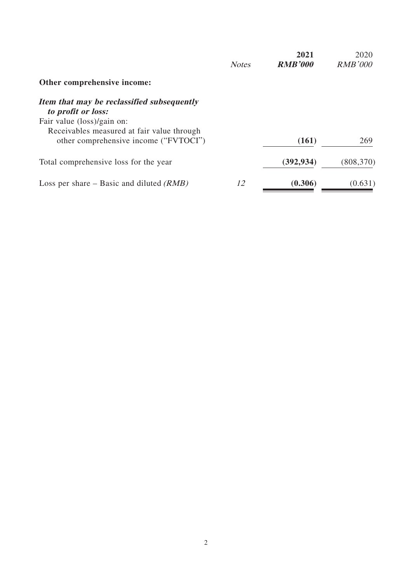|                                                                  | <b>Notes</b> | 2021<br><b>RMB'000</b> | 2020<br><b>RMB'000</b> |
|------------------------------------------------------------------|--------------|------------------------|------------------------|
| Other comprehensive income:                                      |              |                        |                        |
| Item that may be reclassified subsequently<br>to profit or loss: |              |                        |                        |
| Fair value (loss)/gain on:                                       |              |                        |                        |
| Receivables measured at fair value through                       |              |                        |                        |
| other comprehensive income ("FVTOCI")                            |              | (161)                  | 269                    |
| Total comprehensive loss for the year                            |              | (392, 934)             | (808, 370)             |
| Loss per share – Basic and diluted $(RMB)$                       | 12           | (0.306)                | (0.631)                |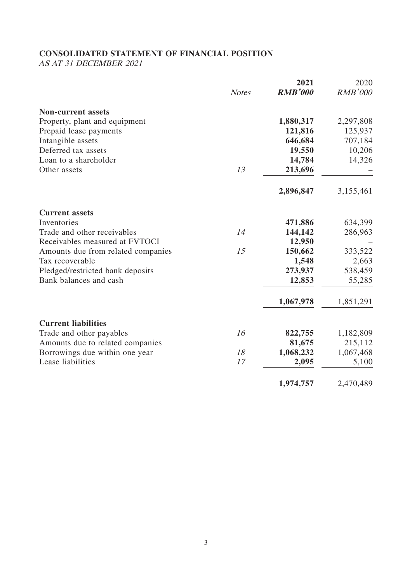# **CONSOLIDATED STATEMENT OF FINANCIAL POSITION**

AS AT 31 DECEMBER 2021

|                                    |              | 2021           | 2020           |
|------------------------------------|--------------|----------------|----------------|
|                                    | <b>Notes</b> | <b>RMB'000</b> | <b>RMB'000</b> |
| <b>Non-current assets</b>          |              |                |                |
| Property, plant and equipment      |              | 1,880,317      | 2,297,808      |
| Prepaid lease payments             |              | 121,816        | 125,937        |
| Intangible assets                  |              | 646,684        | 707,184        |
| Deferred tax assets                |              | 19,550         | 10,206         |
| Loan to a shareholder              |              | 14,784         | 14,326         |
| Other assets                       | 13           | 213,696        |                |
|                                    |              | 2,896,847      | 3,155,461      |
| <b>Current assets</b>              |              |                |                |
| Inventories                        |              | 471,886        | 634,399        |
| Trade and other receivables        | 14           | 144,142        | 286,963        |
| Receivables measured at FVTOCI     |              | 12,950         |                |
| Amounts due from related companies | 15           | 150,662        | 333,522        |
| Tax recoverable                    |              | 1,548          | 2,663          |
| Pledged/restricted bank deposits   |              | 273,937        | 538,459        |
| Bank balances and cash             |              | 12,853         | 55,285         |
|                                    |              | 1,067,978      | 1,851,291      |
|                                    |              |                |                |
| <b>Current liabilities</b>         |              |                |                |
| Trade and other payables           | 16           | 822,755        | 1,182,809      |
| Amounts due to related companies   |              | 81,675         | 215,112        |
| Borrowings due within one year     | 18           | 1,068,232      | 1,067,468      |
| Lease liabilities                  | 17           | 2,095          | 5,100          |
|                                    |              | 1,974,757      | 2,470,489      |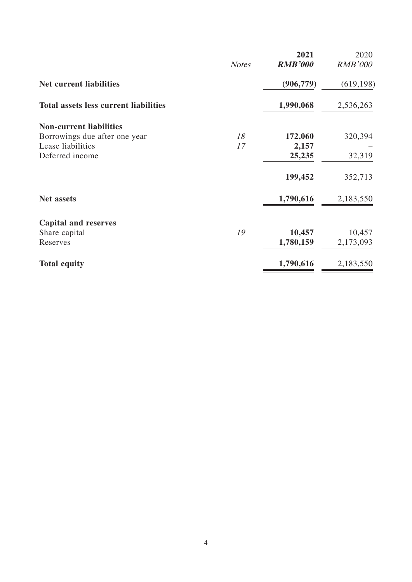|                                              | <b>Notes</b> | 2021<br><b>RMB'000</b> | 2020<br><b>RMB'000</b> |
|----------------------------------------------|--------------|------------------------|------------------------|
| <b>Net current liabilities</b>               |              | (906, 779)             | (619, 198)             |
| <b>Total assets less current liabilities</b> |              | 1,990,068              | 2,536,263              |
| <b>Non-current liabilities</b>               |              |                        |                        |
| Borrowings due after one year                | 18           | 172,060                | 320,394                |
| Lease liabilities                            | 17           | 2,157                  |                        |
| Deferred income                              |              | 25,235                 | 32,319                 |
|                                              |              | 199,452                | 352,713                |
| <b>Net assets</b>                            |              | 1,790,616              | 2,183,550              |
| <b>Capital and reserves</b>                  |              |                        |                        |
| Share capital                                | 19           | 10,457                 | 10,457                 |
| Reserves                                     |              | 1,780,159              | 2,173,093              |
| <b>Total equity</b>                          |              | 1,790,616              | 2,183,550              |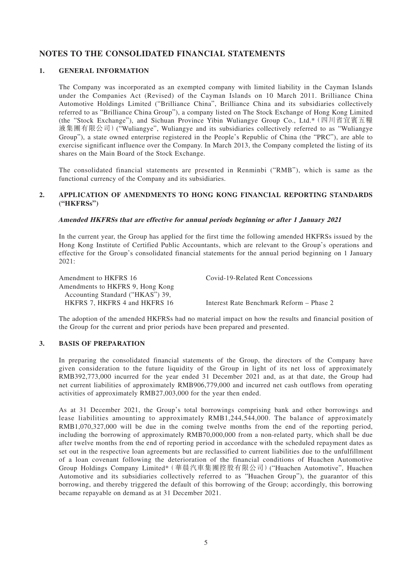## **NOTES TO THE CONSOLIDATED FINANCIAL STATEMENTS**

#### **1. GENERAL INFORMATION**

The Company was incorporated as an exempted company with limited liability in the Cayman Islands under the Companies Act (Revised) of the Cayman Islands on 10 March 2011. Brilliance China Automotive Holdings Limited ("Brilliance China", Brilliance China and its subsidiaries collectively referred to as "Brilliance China Group"), a company listed on The Stock Exchange of Hong Kong Limited (the "Stock Exchange"), and Sichuan Province Yibin Wuliangye Group Co., Ltd.\*(四川省宜賓五糧 液集團有限公司)("Wuliangye", Wuliangye and its subsidiaries collectively referred to as "Wuliangye Group"), a state owned enterprise registered in the People's Republic of China (the "PRC"), are able to exercise significant influence over the Company. In March 2013, the Company completed the listing of its shares on the Main Board of the Stock Exchange.

The consolidated financial statements are presented in Renminbi ("RMB"), which is same as the functional currency of the Company and its subsidiaries.

#### **2. APPLICATION OF AMENDMENTS TO HONG KONG FINANCIAL REPORTING STANDARDS ("HKFRSs")**

#### **Amended HKFRSs that are effective for annual periods beginning or after 1 January 2021**

In the current year, the Group has applied for the first time the following amended HKFRSs issued by the Hong Kong Institute of Certified Public Accountants, which are relevant to the Group's operations and effective for the Group's consolidated financial statements for the annual period beginning on 1 January 2021:

| Amendment to HKFRS 16            | Covid-19-Related Rent Concessions        |
|----------------------------------|------------------------------------------|
| Amendments to HKFRS 9, Hong Kong |                                          |
| Accounting Standard ("HKAS") 39, |                                          |
| HKFRS 7. HKFRS 4 and HKFRS 16    | Interest Rate Benchmark Reform – Phase 2 |

The adoption of the amended HKFRSs had no material impact on how the results and financial position of the Group for the current and prior periods have been prepared and presented.

#### **3. BASIS OF PREPARATION**

In preparing the consolidated financial statements of the Group, the directors of the Company have given consideration to the future liquidity of the Group in light of its net loss of approximately RMB392,773,000 incurred for the year ended 31 December 2021 and, as at that date, the Group had net current liabilities of approximately RMB906,779,000 and incurred net cash outflows from operating activities of approximately RMB27,003,000 for the year then ended.

As at 31 December 2021, the Group's total borrowings comprising bank and other borrowings and lease liabilities amounting to approximately RMB1,244,544,000. The balance of approximately RMB1,070,327,000 will be due in the coming twelve months from the end of the reporting period, including the borrowing of approximately RMB70,000,000 from a non-related party, which shall be due after twelve months from the end of reporting period in accordance with the scheduled repayment dates as set out in the respective loan agreements but are reclassified to current liabilities due to the unfulfillment of a loan covenant following the deterioration of the financial conditions of Huachen Automotive Group Holdings Company Limited\*(華晨汽車集團控股有限公司)("Huachen Automotive", Huachen Automotive and its subsidiaries collectively referred to as "Huachen Group"), the guarantor of this borrowing, and thereby triggered the default of this borrowing of the Group; accordingly, this borrowing became repayable on demand as at 31 December 2021.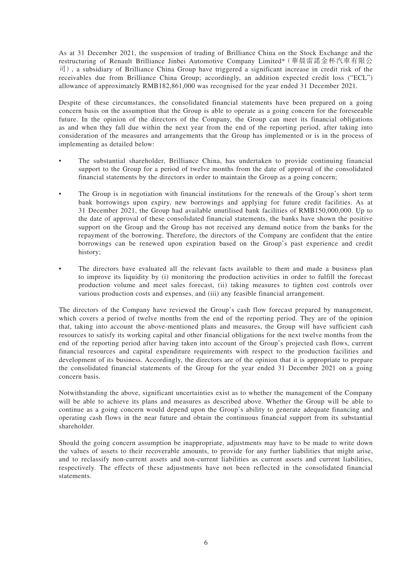As at 31 December 2021, the suspension of trading of Brilliance China on the Stock Exchange and the restructuring of Renault Brilliance Jinbei Automotive Company Limited\*(華晨雷諾金杯汽車有限公 司), a subsidiary of Brilliance China Group have triggered a significant increase in credit risk of the receivables due from Brilliance China Group; accordingly, an addition expected credit loss ("ECL") allowance of approximately RMB182,861,000 was recognised for the year ended 31 December 2021.

Despite of these circumstances, the consolidated financial statements have been prepared on a going concern basis on the assumption that the Group is able to operate as a going concern for the foreseeable future. In the opinion of the directors of the Company, the Group can meet its financial obligations as and when they fall due within the next year from the end of the reporting period, after taking into consideration of the measures and arrangements that the Group has implemented or is in the process of implementing as detailed below:

- The substantial shareholder, Brilliance China, has undertaken to provide continuing financial support to the Group for a period of twelve months from the date of approval of the consolidated financial statements by the directors in order to maintain the Group as a going concern;
- The Group is in negotiation with financial institutions for the renewals of the Group's short term bank borrowings upon expiry, new borrowings and applying for future credit facilities. As at 31 December 2021, the Group had available unutilised bank facilities of RMB150,000,000. Up to the date of approval of these consolidated financial statements, the banks have shown the positive support on the Group and the Group has not received any demand notice from the banks for the repayment of the borrowing. Therefore, the directors of the Company are confident that the entire borrowings can be renewed upon expiration based on the Group's past experience and credit history;
- The directors have evaluated all the relevant facts available to them and made a business plan to improve its liquidity by (i) monitoring the production activities in order to fulfill the forecast production volume and meet sales forecast, (ii) taking measures to tighten cost controls over various production costs and expenses, and (iii) any feasible financial arrangement.

The directors of the Company have reviewed the Group's cash flow forecast prepared by management, which covers a period of twelve months from the end of the reporting period. They are of the opinion that, taking into account the above-mentioned plans and measures, the Group will have sufficient cash resources to satisfy its working capital and other financial obligations for the next twelve months from the end of the reporting period after having taken into account of the Group's projected cash flows, current financial resources and capital expenditure requirements with respect to the production facilities and development of its business. Accordingly, the directors are of the opinion that it is appropriate to prepare the consolidated financial statements of the Group for the year ended 31 December 2021 on a going concern basis.

Notwithstanding the above, significant uncertainties exist as to whether the management of the Company will be able to achieve its plans and measures as described above. Whether the Group will be able to continue as a going concern would depend upon the Group's ability to generate adequate financing and operating cash flows in the near future and obtain the continuous financial support from its substantial shareholder.

Should the going concern assumption be inappropriate, adjustments may have to be made to write down the values of assets to their recoverable amounts, to provide for any further liabilities that might arise, and to reclassify non-current assets and non-current liabilities as current assets and current liabilities, respectively. The effects of these adjustments have not been reflected in the consolidated financial statements.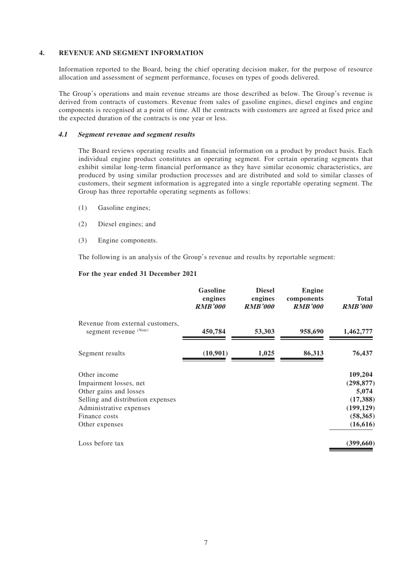#### **4. REVENUE AND SEGMENT INFORMATION**

Information reported to the Board, being the chief operating decision maker, for the purpose of resource allocation and assessment of segment performance, focuses on types of goods delivered.

The Group's operations and main revenue streams are those described as below. The Group's revenue is derived from contracts of customers. Revenue from sales of gasoline engines, diesel engines and engine components is recognised at a point of time. All the contracts with customers are agreed at fixed price and the expected duration of the contracts is one year or less.

#### **4.1 Segment revenue and segment results**

The Board reviews operating results and financial information on a product by product basis. Each individual engine product constitutes an operating segment. For certain operating segments that exhibit similar long-term financial performance as they have similar economic characteristics, are produced by using similar production processes and are distributed and sold to similar classes of customers, their segment information is aggregated into a single reportable operating segment. The Group has three reportable operating segments as follows:

- (1) Gasoline engines;
- (2) Diesel engines; and
- (3) Engine components.

The following is an analysis of the Group's revenue and results by reportable segment:

#### **For the year ended 31 December 2021**

|                                                                                                                                                                     | <b>Gasoline</b><br>engines<br><b>RMB'000</b> | <b>Diesel</b><br>engines<br><b>RMB'000</b> | <b>Engine</b><br>components<br><b>RMB'000</b> | Total<br><b>RMB'000</b>                                                            |
|---------------------------------------------------------------------------------------------------------------------------------------------------------------------|----------------------------------------------|--------------------------------------------|-----------------------------------------------|------------------------------------------------------------------------------------|
| Revenue from external customers,<br>segment revenue (Note)                                                                                                          | 450,784                                      | 53,303                                     | 958,690                                       | 1,462,777                                                                          |
| Segment results                                                                                                                                                     | (10, 901)                                    | 1,025                                      | 86,313                                        | 76,437                                                                             |
| Other income<br>Impairment losses, net<br>Other gains and losses<br>Selling and distribution expenses<br>Administrative expenses<br>Finance costs<br>Other expenses |                                              |                                            |                                               | 109,204<br>(298, 877)<br>5,074<br>(17,388)<br>(199, 129)<br>(58, 365)<br>(16, 616) |
| Loss before tax                                                                                                                                                     |                                              |                                            |                                               | (399, 660)                                                                         |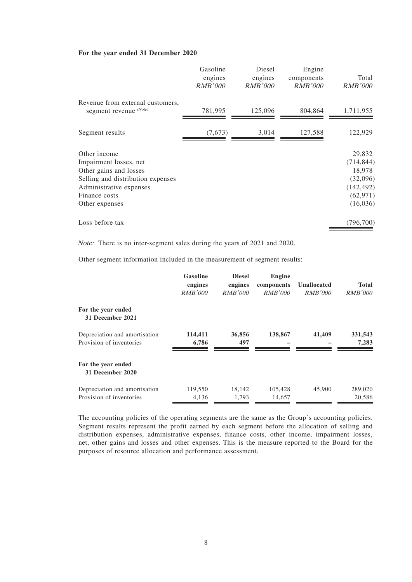#### **For the year ended 31 December 2020**

|                                                                                                                                                                     | Gasoline<br>engines<br><i>RMB'000</i> | Diesel<br>engines<br><i>RMB'000</i> | Engine<br>components<br><i>RMB'000</i> | Total<br><i>RMB'000</i>                                                           |
|---------------------------------------------------------------------------------------------------------------------------------------------------------------------|---------------------------------------|-------------------------------------|----------------------------------------|-----------------------------------------------------------------------------------|
| Revenue from external customers,<br>segment revenue (Note)                                                                                                          | 781,995                               | 125,096                             | 804,864                                | 1,711,955                                                                         |
| Segment results                                                                                                                                                     | (7,673)                               | 3,014                               | 127,588                                | 122,929                                                                           |
| Other income<br>Impairment losses, net<br>Other gains and losses<br>Selling and distribution expenses<br>Administrative expenses<br>Finance costs<br>Other expenses |                                       |                                     |                                        | 29,832<br>(714, 844)<br>18,978<br>(32,096)<br>(142, 492)<br>(62, 971)<br>(16,036) |
| Loss before tax                                                                                                                                                     |                                       |                                     |                                        | (796, 700)                                                                        |

Note: There is no inter-segment sales during the years of 2021 and 2020.

Other segment information included in the measurement of segment results:

|                                                           | Gasoline<br>engines<br><i>RMB'000</i> | <b>Diesel</b><br>engines<br><i>RMB'000</i> | Engine<br>components<br><i>RMB'000</i> | Unallocated<br><i>RMB'000</i> | <b>Total</b><br><i>RMB'000</i> |
|-----------------------------------------------------------|---------------------------------------|--------------------------------------------|----------------------------------------|-------------------------------|--------------------------------|
| For the year ended<br>31 December 2021                    |                                       |                                            |                                        |                               |                                |
| Depreciation and amortisation<br>Provision of inventories | 114,411<br>6,786                      | 36,856<br>497                              | 138,867                                | 41,409                        | 331,543<br>7,283               |
| For the year ended<br>31 December 2020                    |                                       |                                            |                                        |                               |                                |
| Depreciation and amortisation<br>Provision of inventories | 119,550<br>4,136                      | 18,142<br>1,793                            | 105,428<br>14,657                      | 45,900                        | 289,020<br>20,586              |

The accounting policies of the operating segments are the same as the Group's accounting policies. Segment results represent the profit earned by each segment before the allocation of selling and distribution expenses, administrative expenses, finance costs, other income, impairment losses, net, other gains and losses and other expenses. This is the measure reported to the Board for the purposes of resource allocation and performance assessment.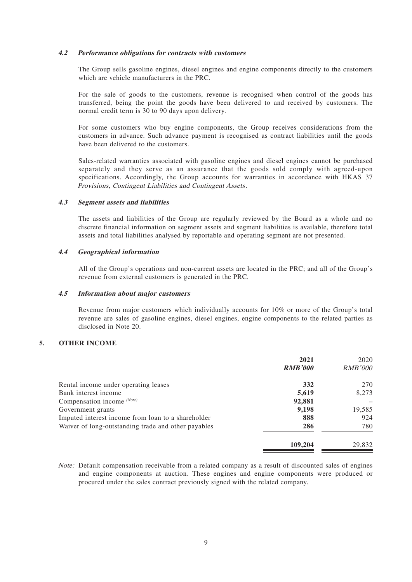#### **4.2 Performance obligations for contracts with customers**

The Group sells gasoline engines, diesel engines and engine components directly to the customers which are vehicle manufacturers in the PRC.

For the sale of goods to the customers, revenue is recognised when control of the goods has transferred, being the point the goods have been delivered to and received by customers. The normal credit term is 30 to 90 days upon delivery.

For some customers who buy engine components, the Group receives considerations from the customers in advance. Such advance payment is recognised as contract liabilities until the goods have been delivered to the customers.

Sales-related warranties associated with gasoline engines and diesel engines cannot be purchased separately and they serve as an assurance that the goods sold comply with agreed-upon specifications. Accordingly, the Group accounts for warranties in accordance with HKAS 37 Provisions, Contingent Liabilities and Contingent Assets.

#### **4.3 Segment assets and liabilities**

The assets and liabilities of the Group are regularly reviewed by the Board as a whole and no discrete financial information on segment assets and segment liabilities is available, therefore total assets and total liabilities analysed by reportable and operating segment are not presented.

#### **4.4 Geographical information**

All of the Group's operations and non-current assets are located in the PRC; and all of the Group's revenue from external customers is generated in the PRC.

#### **4.5 Information about major customers**

Revenue from major customers which individually accounts for 10% or more of the Group's total revenue are sales of gasoline engines, diesel engines, engine components to the related parties as disclosed in Note 20.

#### **5. OTHER INCOME**

|                                                     | 2021           | 2020           |
|-----------------------------------------------------|----------------|----------------|
|                                                     | <b>RMB'000</b> | <b>RMB'000</b> |
| Rental income under operating leases                | 332            | 270            |
| Bank interest income                                | 5,619          | 8,273          |
| Compensation income (Note)                          | 92,881         |                |
| Government grants                                   | 9,198          | 19,585         |
| Imputed interest income from loan to a shareholder  | 888            | 924            |
| Waiver of long-outstanding trade and other payables | 286            | 780            |
|                                                     | 109,204        | 29,832         |

Note: Default compensation receivable from a related company as a result of discounted sales of engines and engine components at auction. These engines and engine components were produced or procured under the sales contract previously signed with the related company.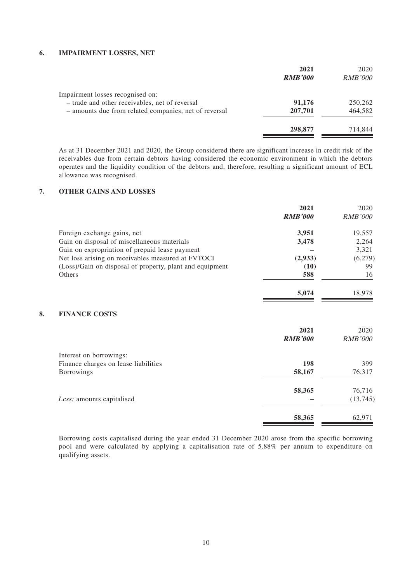#### **6. IMPAIRMENT LOSSES, NET**

|                                                       | 2021           | 2020           |
|-------------------------------------------------------|----------------|----------------|
|                                                       | <b>RMB'000</b> | <i>RMB'000</i> |
| Impairment losses recognised on:                      |                |                |
| - trade and other receivables, net of reversal        | 91,176         | 250,262        |
| - amounts due from related companies, net of reversal | 207,701        | 464.582        |
|                                                       | 298,877        | 714.844        |

As at 31 December 2021 and 2020, the Group considered there are significant increase in credit risk of the receivables due from certain debtors having considered the economic environment in which the debtors operates and the liquidity condition of the debtors and, therefore, resulting a significant amount of ECL allowance was recognised.

#### **7. OTHER GAINS AND LOSSES**

|    |                                                          | 2021           | 2020           |
|----|----------------------------------------------------------|----------------|----------------|
|    |                                                          | <b>RMB'000</b> | <b>RMB'000</b> |
|    | Foreign exchange gains, net                              | 3,951          | 19,557         |
|    | Gain on disposal of miscellaneous materials              | 3,478          | 2,264          |
|    | Gain on expropriation of prepaid lease payment           |                | 3,321          |
|    | Net loss arising on receivables measured at FVTOCI       | (2,933)        | (6,279)        |
|    | (Loss)/Gain on disposal of property, plant and equipment | (10)           | 99             |
|    | Others                                                   | 588            | 16             |
|    |                                                          | 5,074          | 18,978         |
| 8. | <b>FINANCE COSTS</b>                                     |                |                |
|    |                                                          | 2021           | 2020           |
|    |                                                          | <b>RMB'000</b> | <b>RMB'000</b> |
|    | Interest on borrowings:                                  |                |                |
|    | Finance charges on lease liabilities                     | 198            | 399            |
|    | Borrowings                                               | 58,167         | 76,317         |
|    |                                                          | 58,365         | 76,716         |
|    | Less: amounts capitalised                                |                | (13,745)       |
|    |                                                          |                |                |

Borrowing costs capitalised during the year ended 31 December 2020 arose from the specific borrowing pool and were calculated by applying a capitalisation rate of 5.88% per annum to expenditure on qualifying assets.

**58,365** 62,971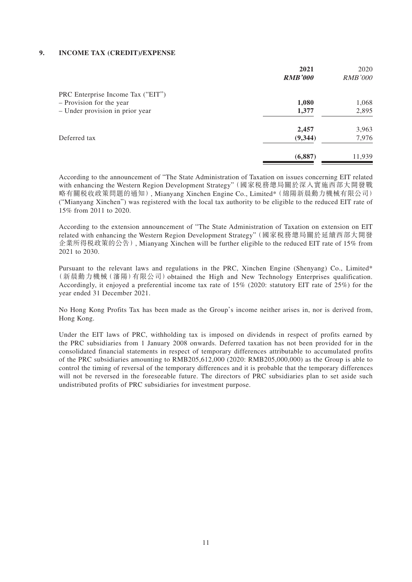#### **9. INCOME TAX (CREDIT)/EXPENSE**

|                                   | 2021           | 2020           |
|-----------------------------------|----------------|----------------|
|                                   | <b>RMB'000</b> | <b>RMB'000</b> |
| PRC Enterprise Income Tax ("EIT") |                |                |
| - Provision for the year          | 1,080          | 1,068          |
| - Under provision in prior year   | 1,377          | 2,895          |
|                                   | 2,457          | 3,963          |
| Deferred tax                      | (9, 344)       | 7,976          |
|                                   | (6, 887)       | 11,939         |

According to the announcement of "The State Administration of Taxation on issues concerning EIT related with enhancing the Western Region Development Strategy"(國家稅務總局關於深入實施西部大開發戰 略有關稅收政策問題的通知), Mianyang Xinchen Engine Co., Limited\*(綿陽新晨動力機械有限公司) ("Mianyang Xinchen") was registered with the local tax authority to be eligible to the reduced EIT rate of 15% from 2011 to 2020.

According to the extension announcement of "The State Administration of Taxation on extension on EIT related with enhancing the Western Region Development Strategy"(國家稅務總局關於延續西部大開發 企業所得稅政策的公告), Mianyang Xinchen will be further eligible to the reduced EIT rate of 15% from 2021 to 2030.

Pursuant to the relevant laws and regulations in the PRC, Xinchen Engine (Shenyang) Co., Limited\* (新晨動力機械(瀋陽)有限公司)obtained the High and New Technology Enterprises qualification. Accordingly, it enjoyed a preferential income tax rate of 15% (2020: statutory EIT rate of 25%) for the year ended 31 December 2021.

No Hong Kong Profits Tax has been made as the Group's income neither arises in, nor is derived from, Hong Kong.

Under the EIT laws of PRC, withholding tax is imposed on dividends in respect of profits earned by the PRC subsidiaries from 1 January 2008 onwards. Deferred taxation has not been provided for in the consolidated financial statements in respect of temporary differences attributable to accumulated profits of the PRC subsidiaries amounting to RMB205,612,000 (2020: RMB205,000,000) as the Group is able to control the timing of reversal of the temporary differences and it is probable that the temporary differences will not be reversed in the foreseeable future. The directors of PRC subsidiaries plan to set aside such undistributed profits of PRC subsidiaries for investment purpose.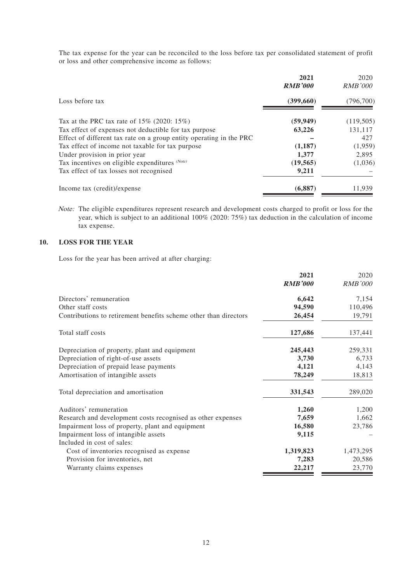The tax expense for the year can be reconciled to the loss before tax per consolidated statement of profit or loss and other comprehensive income as follows:

|                                                                     | 2021<br><b>RMB'000</b> | 2020<br><b>RMB'000</b> |
|---------------------------------------------------------------------|------------------------|------------------------|
| Loss before tax                                                     | (399,660)              | (796,700)              |
| Tax at the PRC tax rate of $15\%$ (2020: $15\%$ )                   | (59, 949)              | (119, 505)             |
| Tax effect of expenses not deductible for tax purpose               | 63,226                 | 131,117                |
| Effect of different tax rate on a group entity operating in the PRC |                        | 427                    |
| Tax effect of income not taxable for tax purpose                    | (1,187)                | (1,959)                |
| Under provision in prior year                                       | 1,377                  | 2,895                  |
| Tax incentives on eligible expenditures (Note)                      | (19, 565)              | (1,036)                |
| Tax effect of tax losses not recognised                             | 9,211                  |                        |
| Income tax (credit)/expense                                         | (6,887)                | 11.939                 |

Note: The eligible expenditures represent research and development costs charged to profit or loss for the year, which is subject to an additional 100% (2020: 75%) tax deduction in the calculation of income tax expense.

### **10. LOSS FOR THE YEAR**

Loss for the year has been arrived at after charging:

|                                                                  | 2021           | 2020           |
|------------------------------------------------------------------|----------------|----------------|
|                                                                  | <b>RMB'000</b> | <b>RMB'000</b> |
| Directors' remuneration                                          | 6,642          | 7,154          |
| Other staff costs                                                | 94,590         | 110,496        |
| Contributions to retirement benefits scheme other than directors | 26,454         | 19,791         |
| Total staff costs                                                | 127,686        | 137,441        |
| Depreciation of property, plant and equipment                    | 245,443        | 259,331        |
| Depreciation of right-of-use assets                              | 3,730          | 6,733          |
| Depreciation of prepaid lease payments                           | 4,121          | 4,143          |
| Amortisation of intangible assets                                | 78,249         | 18,813         |
| Total depreciation and amortisation                              | 331,543        | 289,020        |
| Auditors' remuneration                                           | 1,260          | 1,200          |
| Research and development costs recognised as other expenses      | 7,659          | 1,662          |
| Impairment loss of property, plant and equipment                 | 16,580         | 23,786         |
| Impairment loss of intangible assets                             | 9,115          |                |
| Included in cost of sales:                                       |                |                |
| Cost of inventories recognised as expense                        | 1,319,823      | 1,473,295      |
| Provision for inventories, net                                   | 7,283          | 20,586         |
| Warranty claims expenses                                         | 22,217         | 23,770         |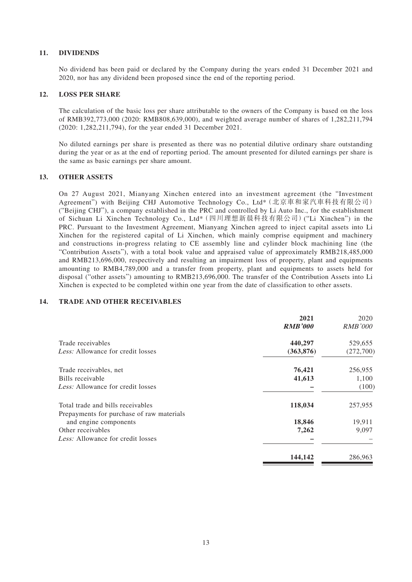#### **11. DIVIDENDS**

No dividend has been paid or declared by the Company during the years ended 31 December 2021 and 2020, nor has any dividend been proposed since the end of the reporting period.

#### **12. LOSS PER SHARE**

The calculation of the basic loss per share attributable to the owners of the Company is based on the loss of RMB392,773,000 (2020: RMB808,639,000), and weighted average number of shares of 1,282,211,794 (2020: 1,282,211,794), for the year ended 31 December 2021.

No diluted earnings per share is presented as there was no potential dilutive ordinary share outstanding during the year or as at the end of reporting period. The amount presented for diluted earnings per share is the same as basic earnings per share amount.

### **13. OTHER ASSETS**

On 27 August 2021, Mianyang Xinchen entered into an investment agreement (the "Investment Agreement") with Beijing CHJ Automotive Technology Co., Ltd\*(北京車和家汽車科技有限公司) ("Beijing CHJ"), a company established in the PRC and controlled by Li Auto Inc., for the establishment of Sichuan Li Xinchen Technology Co., Ltd\*(四川理想新晨科技有限公司)("Li Xinchen") in the PRC. Pursuant to the Investment Agreement, Mianyang Xinchen agreed to inject capital assets into Li Xinchen for the registered capital of Li Xinchen, which mainly comprise equipment and machinery and constructions in-progress relating to CE assembly line and cylinder block machining line (the "Contribution Assets"), with a total book value and appraised value of approximately RMB218,485,000 and RMB213,696,000, respectively and resulting an impairment loss of property, plant and equipments amounting to RMB4,789,000 and a transfer from property, plant and equipments to assets held for disposal ("other assets") amounting to RMB213,696,000. The transfer of the Contribution Assets into Li Xinchen is expected to be completed within one year from the date of classification to other assets.

### **14. TRADE AND OTHER RECEIVABLES**

| 2021           | 2020           |
|----------------|----------------|
| <b>RMB'000</b> | <b>RMB'000</b> |
| 440,297        | 529,655        |
| (363, 876)     | (272,700)      |
| 76,421         | 256,955        |
| 41,613         | 1,100          |
|                | (100)          |
| 118,034        | 257,955        |
|                |                |
| 18,846         | 19,911         |
| 7,262          | 9,097          |
|                |                |
| 144,142        | 286,963        |
|                |                |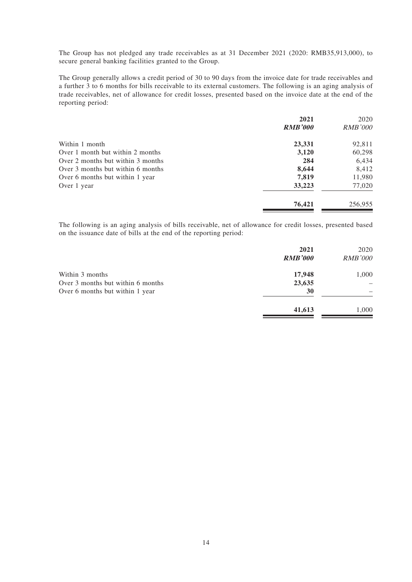The Group has not pledged any trade receivables as at 31 December 2021 (2020: RMB35,913,000), to secure general banking facilities granted to the Group.

The Group generally allows a credit period of 30 to 90 days from the invoice date for trade receivables and a further 3 to 6 months for bills receivable to its external customers. The following is an aging analysis of trade receivables, net of allowance for credit losses, presented based on the invoice date at the end of the reporting period:

|                                   | 2021<br><b>RMB'000</b> | 2020<br><b>RMB'000</b> |
|-----------------------------------|------------------------|------------------------|
| Within 1 month                    | 23,331                 | 92,811                 |
| Over 1 month but within 2 months  | 3,120                  | 60,298                 |
| Over 2 months but within 3 months | 284                    | 6,434                  |
| Over 3 months but within 6 months | 8,644                  | 8,412                  |
| Over 6 months but within 1 year   | 7,819                  | 11,980                 |
| Over 1 year                       | 33,223                 | 77,020                 |
|                                   | 76,421                 | 256,955                |

The following is an aging analysis of bills receivable, net of allowance for credit losses, presented based on the issuance date of bills at the end of the reporting period:

|                                   | 2021<br><b>RMB'000</b> | 2020<br><b>RMB'000</b> |
|-----------------------------------|------------------------|------------------------|
| Within 3 months                   | 17,948                 | 1,000                  |
| Over 3 months but within 6 months | 23,635                 |                        |
| Over 6 months but within 1 year   | 30                     |                        |
|                                   | 41,613                 | 1,000                  |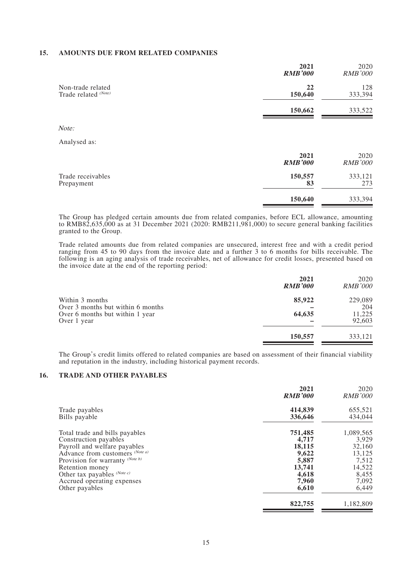#### **15. AMOUNTS DUE FROM RELATED COMPANIES**

|                                           | 2021<br><b>RMB'000</b> | 2020<br><b>RMB'000</b> |
|-------------------------------------------|------------------------|------------------------|
| Non-trade related<br>Trade related (Note) | 22<br>150,640          | 128<br>333,394         |
|                                           | 150,662                | 333,522                |
| Note:                                     |                        |                        |
| Analysed as:                              |                        |                        |
|                                           | 2021<br><b>RMB'000</b> | 2020<br><b>RMB'000</b> |
| Trade receivables<br>Prepayment           | 150,557<br>83          | 333,121<br>273         |
|                                           | 150,640                | 333,394                |

The Group has pledged certain amounts due from related companies, before ECL allowance, amounting to RMB82,635,000 as at 31 December 2021 (2020: RMB211,981,000) to secure general banking facilities granted to the Group.

Trade related amounts due from related companies are unsecured, interest free and with a credit period ranging from 45 to 90 days from the invoice date and a further 3 to 6 months for bills receivable. The following is an aging analysis of trade receivables, net of allowance for credit losses, presented based on the invoice date at the end of the reporting period:

|                                   | 2021<br><b>RMB'000</b> | 2020<br><b>RMB'000</b> |
|-----------------------------------|------------------------|------------------------|
| Within 3 months                   | 85,922                 | 229,089                |
| Over 3 months but within 6 months |                        | 204                    |
| Over 6 months but within 1 year   | 64,635                 | 11,225                 |
| Over 1 year                       |                        | 92,603                 |
|                                   | 150,557                | 333,121                |

The Group's credit limits offered to related companies are based on assessment of their financial viability and reputation in the industry, including historical payment records.

### **16. TRADE AND OTHER PAYABLES**

|                                 | 2021<br><b>RMB'000</b> | 2020<br><b>RMB'000</b> |
|---------------------------------|------------------------|------------------------|
| Trade payables                  | 414,839                | 655,521                |
| Bills payable                   | 336,646                | 434,044                |
| Total trade and bills payables  | 751,485                | 1,089,565              |
| Construction payables           | 4,717                  | 3,929                  |
| Payroll and welfare payables    | 18,115                 | 32,160                 |
| Advance from customers (Note a) | 9,622                  | 13,125                 |
| Provision for warranty (Note b) | 5,887                  | 7,512                  |
| Retention money                 | 13,741                 | 14,522                 |
| Other tax payables $(Note c)$   | 4,618                  | 8,455                  |
| Accrued operating expenses      | 7,960                  | 7,092                  |
| Other payables                  | 6,610                  | 6,449                  |
|                                 | 822,755                | 1,182,809              |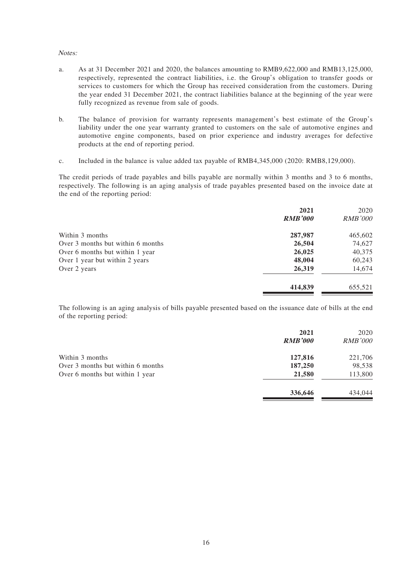#### Notes:

- a. As at 31 December 2021 and 2020, the balances amounting to RMB9,622,000 and RMB13,125,000, respectively, represented the contract liabilities, i.e. the Group's obligation to transfer goods or services to customers for which the Group has received consideration from the customers. During the year ended 31 December 2021, the contract liabilities balance at the beginning of the year were fully recognized as revenue from sale of goods.
- b. The balance of provision for warranty represents management's best estimate of the Group's liability under the one year warranty granted to customers on the sale of automotive engines and automotive engine components, based on prior experience and industry averages for defective products at the end of reporting period.
- c. Included in the balance is value added tax payable of RMB4,345,000 (2020: RMB8,129,000).

The credit periods of trade payables and bills payable are normally within 3 months and 3 to 6 months, respectively. The following is an aging analysis of trade payables presented based on the invoice date at the end of the reporting period:

|                                   | 2021<br><b>RMB'000</b> | 2020<br><i>RMB'000</i> |
|-----------------------------------|------------------------|------------------------|
| Within 3 months                   | 287,987                | 465,602                |
| Over 3 months but within 6 months | 26,504                 | 74,627                 |
| Over 6 months but within 1 year   | 26,025                 | 40,375                 |
| Over 1 year but within 2 years    | 48,004                 | 60,243                 |
| Over 2 years                      | 26,319                 | 14,674                 |
|                                   | 414,839                | 655,521                |

The following is an aging analysis of bills payable presented based on the issuance date of bills at the end of the reporting period:

|                                   | 2021<br><b>RMB'000</b> | 2020<br><b>RMB'000</b> |
|-----------------------------------|------------------------|------------------------|
| Within 3 months                   | 127,816                | 221,706                |
| Over 3 months but within 6 months | 187,250                | 98,538                 |
| Over 6 months but within 1 year   | 21,580                 | 113,800                |
|                                   | 336,646                | 434,044                |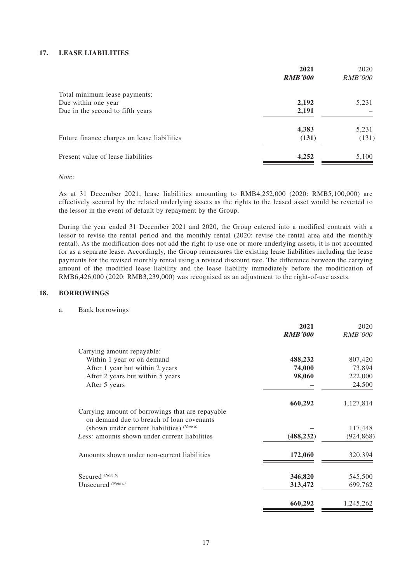#### **17. LEASE LIABILITIES**

|                                             | 2021           | 2020           |
|---------------------------------------------|----------------|----------------|
|                                             | <b>RMB'000</b> | <b>RMB'000</b> |
| Total minimum lease payments:               |                |                |
| Due within one year                         | 2,192          | 5,231          |
| Due in the second to fifth years            | 2,191          |                |
|                                             | 4,383          | 5,231          |
| Future finance charges on lease liabilities | (131)          | (131)          |
| Present value of lease liabilities          | 4,252          | 5,100          |

Note:

As at 31 December 2021, lease liabilities amounting to RMB4,252,000 (2020: RMB5,100,000) are effectively secured by the related underlying assets as the rights to the leased asset would be reverted to the lessor in the event of default by repayment by the Group.

During the year ended 31 December 2021 and 2020, the Group entered into a modified contract with a lessor to revise the rental period and the monthly rental (2020: revise the rental area and the monthly rental). As the modification does not add the right to use one or more underlying assets, it is not accounted for as a separate lease. Accordingly, the Group remeasures the existing lease liabilities including the lease payments for the revised monthly rental using a revised discount rate. The difference between the carrying amount of the modified lease liability and the lease liability immediately before the modification of RMB6,426,000 (2020: RMB3,239,000) was recognised as an adjustment to the right-of-use assets.

#### **18. BORROWINGS**

#### a. Bank borrowings

|                                                                                               | 2021<br><b>RMB'000</b> | 2020<br><b>RMB'000</b> |
|-----------------------------------------------------------------------------------------------|------------------------|------------------------|
| Carrying amount repayable:                                                                    |                        |                        |
| Within 1 year or on demand                                                                    | 488,232                | 807,420                |
| After 1 year but within 2 years                                                               | 74,000                 | 73,894                 |
| After 2 years but within 5 years                                                              | 98,060                 | 222,000                |
| After 5 years                                                                                 |                        | 24,500                 |
|                                                                                               | 660,292                | 1,127,814              |
| Carrying amount of borrowings that are repayable<br>on demand due to breach of loan covenants |                        |                        |
| (shown under current liabilities) (Note a)                                                    |                        | 117,448                |
| Less: amounts shown under current liabilities                                                 | (488, 232)             | (924, 868)             |
| Amounts shown under non-current liabilities                                                   | 172,060                | 320,394                |
| Secured (Note b)                                                                              | 346,820                | 545,500                |
| Unsecured (Note c)                                                                            | 313,472                | 699,762                |
|                                                                                               | 660,292                | 1,245,262              |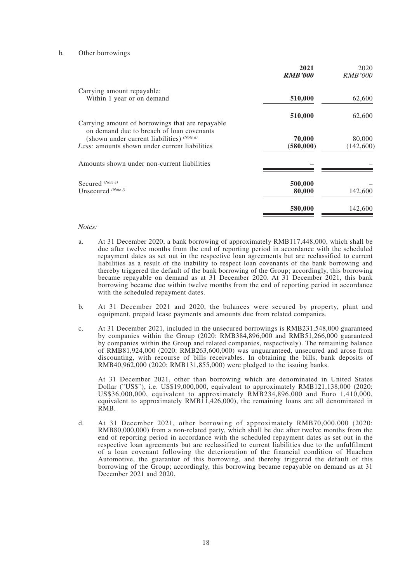#### b. Other borrowings

|                                                                                               | 2021<br><b>RMB'000</b> | 2020<br><i>RMB'000</i> |
|-----------------------------------------------------------------------------------------------|------------------------|------------------------|
|                                                                                               |                        |                        |
| Carrying amount repayable:                                                                    |                        |                        |
| Within 1 year or on demand                                                                    | 510,000                | 62,600                 |
|                                                                                               | 510,000                | 62,600                 |
| Carrying amount of borrowings that are repayable                                              |                        |                        |
| on demand due to breach of loan covenants                                                     |                        |                        |
| (shown under current liabilities) $(Note d)$<br>Less: amounts shown under current liabilities | 70,000                 | 80,000                 |
|                                                                                               | (580,000)              | (142,600)              |
| Amounts shown under non-current liabilities                                                   |                        |                        |
| Secured (Note e)                                                                              | 500,000                |                        |
| Unsecured (Note f)                                                                            | 80,000                 | 142,600                |
|                                                                                               | 580,000                | 142,600                |

#### Notes:

- a. At 31 December 2020, a bank borrowing of approximately RMB117,448,000, which shall be due after twelve months from the end of reporting period in accordance with the scheduled repayment dates as set out in the respective loan agreements but are reclassified to current liabilities as a result of the inability to respect loan covenants of the bank borrowing and thereby triggered the default of the bank borrowing of the Group; accordingly, this borrowing became repayable on demand as at 31 December 2020. At 31 December 2021, this bank borrowing became due within twelve months from the end of reporting period in accordance with the scheduled repayment dates.
- b. At 31 December 2021 and 2020, the balances were secured by property, plant and equipment, prepaid lease payments and amounts due from related companies.
- c. At 31 December 2021, included in the unsecured borrowings is RMB231,548,000 guaranteed by companies within the Group (2020: RMB384,896,000 and RMB51,266,000 guaranteed by companies within the Group and related companies, respectively). The remaining balance of RMB81,924,000 (2020: RMB263,600,000) was unguaranteed, unsecured and arose from discounting, with recourse of bills receivables. In obtaining the bills, bank deposits of RMB40,962,000 (2020: RMB131,855,000) were pledged to the issuing banks.

At 31 December 2021, other than borrowing which are denominated in United States Dollar ("US\$"), i.e. US\$19,000,000, equivalent to approximately RMB121,138,000 (2020: US\$36,000,000, equivalent to approximately RMB234,896,000 and Euro 1,410,000, equivalent to approximately RMB11,426,000), the remaining loans are all denominated in RMB.

d. At 31 December 2021, other borrowing of approximately RMB70,000,000 (2020: RMB80,000,000) from a non-related party, which shall be due after twelve months from the end of reporting period in accordance with the scheduled repayment dates as set out in the respective loan agreements but are reclassified to current liabilities due to the unfulfilment of a loan covenant following the deterioration of the financial condition of Huachen Automotive, the guarantor of this borrowing, and thereby triggered the default of this borrowing of the Group; accordingly, this borrowing became repayable on demand as at 31 December 2021 and 2020.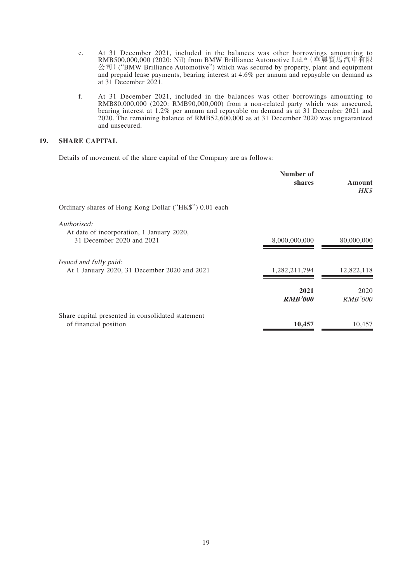- e. At 31 December 2021, included in the balances was other borrowings amounting to RMB500,000,000 (2020: Nil) from BMW Brilliance Automotive Ltd.\*(華晨寶馬汽車有限 公司)("BMW Brilliance Automotive") which was secured by property, plant and equipment and prepaid lease payments, bearing interest at 4.6% per annum and repayable on demand as at 31 December 2021.
- f. At 31 December 2021, included in the balances was other borrowings amounting to RMB80,000,000 (2020: RMB90,000,000) from a non-related party which was unsecured, bearing interest at 1.2% per annum and repayable on demand as at 31 December 2021 and 2020. The remaining balance of RMB52,600,000 as at 31 December 2020 was unguaranteed and unsecured.

### **19. SHARE CAPITAL**

Details of movement of the share capital of the Company are as follows:

|                                                                            | Number of<br>shares    | Amount<br><b>HK\$</b>  |
|----------------------------------------------------------------------------|------------------------|------------------------|
| Ordinary shares of Hong Kong Dollar ("HK\$") 0.01 each                     |                        |                        |
| Authorised:<br>At date of incorporation, 1 January 2020,                   |                        |                        |
| 31 December 2020 and 2021                                                  | 8,000,000,000          | 80,000,000             |
| Issued and fully paid:                                                     |                        |                        |
| At 1 January 2020, 31 December 2020 and 2021                               | 1,282,211,794          | 12,822,118             |
|                                                                            | 2021<br><b>RMB'000</b> | 2020<br><b>RMB'000</b> |
| Share capital presented in consolidated statement<br>of financial position | 10,457                 | 10,457                 |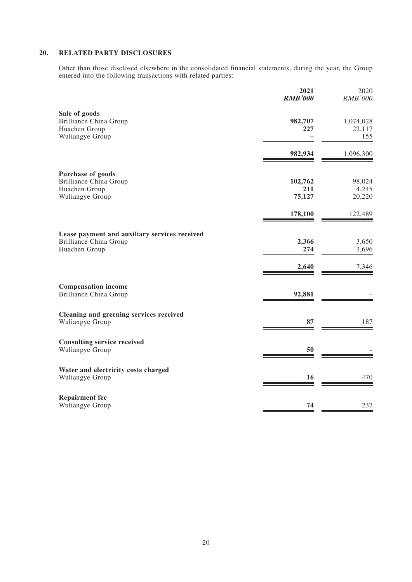### **20. RELATED PARTY DISCLOSURES**

Other than those disclosed elsewhere in the consolidated financial statements, during the year, the Group entered into the following transactions with related parties:

|                                                                                                 | 2021<br><b>RMB'000</b>   | 2020<br><b>RMB'000</b>     |
|-------------------------------------------------------------------------------------------------|--------------------------|----------------------------|
| Sale of goods<br><b>Brilliance China Group</b><br>Huachen Group<br>Wuliangye Group              | 982,707<br>227           | 1,074,028<br>22,117<br>155 |
|                                                                                                 | 982,934                  | 1,096,300                  |
| <b>Purchase of goods</b><br><b>Brilliance China Group</b><br>Huachen Group<br>Wuliangye Group   | 102,762<br>211<br>75,127 | 98,024<br>4,245<br>20,220  |
|                                                                                                 | 178,100                  | 122,489                    |
| Lease payment and auxiliary services received<br><b>Brilliance China Group</b><br>Huachen Group | 2,366<br>274<br>2,640    | 3,650<br>3,696<br>7,346    |
| <b>Compensation income</b><br><b>Brilliance China Group</b>                                     | 92,881                   |                            |
| Cleaning and greening services received<br>Wuliangye Group                                      | 87                       | 187                        |
| <b>Consulting service received</b><br>Wuliangye Group                                           | 50                       |                            |
| Water and electricity costs charged<br>Wuliangye Group                                          | 16                       | 470                        |
| <b>Repairment fee</b><br>Wuliangye Group                                                        | 74                       | 237                        |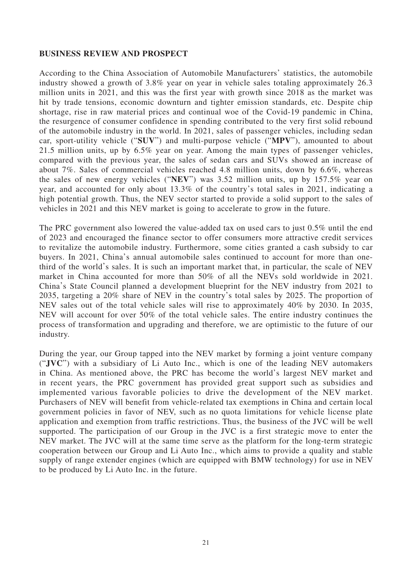### **BUSINESS REVIEW AND PROSPECT**

According to the China Association of Automobile Manufacturers' statistics, the automobile industry showed a growth of 3.8% year on year in vehicle sales totaling approximately 26.3 million units in 2021, and this was the first year with growth since 2018 as the market was hit by trade tensions, economic downturn and tighter emission standards, etc. Despite chip shortage, rise in raw material prices and continual woe of the Covid-19 pandemic in China, the resurgence of consumer confidence in spending contributed to the very first solid rebound of the automobile industry in the world. In 2021, sales of passenger vehicles, including sedan car, sport-utility vehicle ("**SUV**") and multi-purpose vehicle ("**MPV**"), amounted to about 21.5 million units, up by 6.5% year on year. Among the main types of passenger vehicles, compared with the previous year, the sales of sedan cars and SUVs showed an increase of about 7%. Sales of commercial vehicles reached 4.8 million units, down by 6.6%, whereas the sales of new energy vehicles ("**NEV**") was 3.52 million units, up by 157.5% year on year, and accounted for only about 13.3% of the country's total sales in 2021, indicating a high potential growth. Thus, the NEV sector started to provide a solid support to the sales of vehicles in 2021 and this NEV market is going to accelerate to grow in the future.

The PRC government also lowered the value-added tax on used cars to just 0.5% until the end of 2023 and encouraged the finance sector to offer consumers more attractive credit services to revitalize the automobile industry. Furthermore, some cities granted a cash subsidy to car buyers. In 2021, China's annual automobile sales continued to account for more than onethird of the world's sales. It is such an important market that, in particular, the scale of NEV market in China accounted for more than 50% of all the NEVs sold worldwide in 2021. China's State Council planned a development blueprint for the NEV industry from 2021 to 2035, targeting a 20% share of NEV in the country's total sales by 2025. The proportion of NEV sales out of the total vehicle sales will rise to approximately 40% by 2030. In 2035, NEV will account for over 50% of the total vehicle sales. The entire industry continues the process of transformation and upgrading and therefore, we are optimistic to the future of our industry.

During the year, our Group tapped into the NEV market by forming a joint venture company ("**JVC**") with a subsidiary of Li Auto Inc., which is one of the leading NEV automakers in China. As mentioned above, the PRC has become the world's largest NEV market and in recent years, the PRC government has provided great support such as subsidies and implemented various favorable policies to drive the development of the NEV market. Purchasers of NEV will benefit from vehicle-related tax exemptions in China and certain local government policies in favor of NEV, such as no quota limitations for vehicle license plate application and exemption from traffic restrictions. Thus, the business of the JVC will be well supported. The participation of our Group in the JVC is a first strategic move to enter the NEV market. The JVC will at the same time serve as the platform for the long-term strategic cooperation between our Group and Li Auto Inc., which aims to provide a quality and stable supply of range extender engines (which are equipped with BMW technology) for use in NEV to be produced by Li Auto Inc. in the future.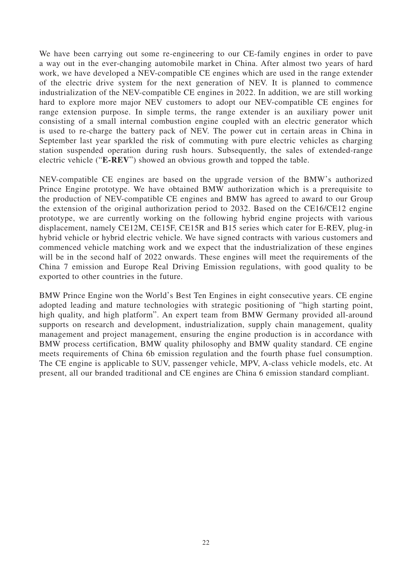We have been carrying out some re-engineering to our CE-family engines in order to pave a way out in the ever-changing automobile market in China. After almost two years of hard work, we have developed a NEV-compatible CE engines which are used in the range extender of the electric drive system for the next generation of NEV. It is planned to commence industrialization of the NEV-compatible CE engines in 2022. In addition, we are still working hard to explore more major NEV customers to adopt our NEV-compatible CE engines for range extension purpose. In simple terms, the range extender is an auxiliary power unit consisting of a small internal combustion engine coupled with an electric generator which is used to re-charge the battery pack of NEV. The power cut in certain areas in China in September last year sparkled the risk of commuting with pure electric vehicles as charging station suspended operation during rush hours. Subsequently, the sales of extended-range electric vehicle ("**E-REV**") showed an obvious growth and topped the table.

NEV-compatible CE engines are based on the upgrade version of the BMW's authorized Prince Engine prototype. We have obtained BMW authorization which is a prerequisite to the production of NEV-compatible CE engines and BMW has agreed to award to our Group the extension of the original authorization period to 2032. Based on the CE16/CE12 engine prototype, we are currently working on the following hybrid engine projects with various displacement, namely CE12M, CE15F, CE15R and B15 series which cater for E-REV, plug-in hybrid vehicle or hybrid electric vehicle. We have signed contracts with various customers and commenced vehicle matching work and we expect that the industrialization of these engines will be in the second half of 2022 onwards. These engines will meet the requirements of the China 7 emission and Europe Real Driving Emission regulations, with good quality to be exported to other countries in the future.

BMW Prince Engine won the World's Best Ten Engines in eight consecutive years. CE engine adopted leading and mature technologies with strategic positioning of "high starting point, high quality, and high platform". An expert team from BMW Germany provided all-around supports on research and development, industrialization, supply chain management, quality management and project management, ensuring the engine production is in accordance with BMW process certification, BMW quality philosophy and BMW quality standard. CE engine meets requirements of China 6b emission regulation and the fourth phase fuel consumption. The CE engine is applicable to SUV, passenger vehicle, MPV, A-class vehicle models, etc. At present, all our branded traditional and CE engines are China 6 emission standard compliant.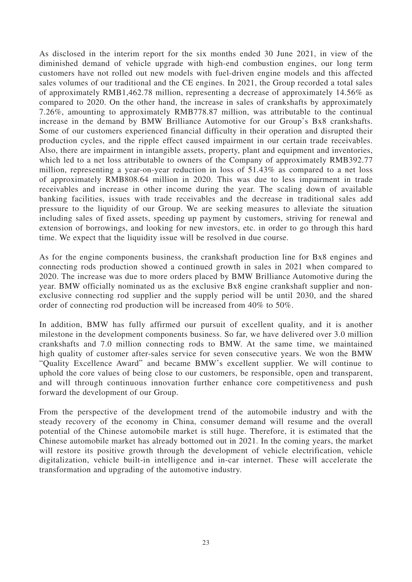As disclosed in the interim report for the six months ended 30 June 2021, in view of the diminished demand of vehicle upgrade with high-end combustion engines, our long term customers have not rolled out new models with fuel-driven engine models and this affected sales volumes of our traditional and the CE engines. In 2021, the Group recorded a total sales of approximately RMB1,462.78 million, representing a decrease of approximately 14.56% as compared to 2020. On the other hand, the increase in sales of crankshafts by approximately 7.26%, amounting to approximately RMB778.87 million, was attributable to the continual increase in the demand by BMW Brilliance Automotive for our Group's Bx8 crankshafts. Some of our customers experienced financial difficulty in their operation and disrupted their production cycles, and the ripple effect caused impairment in our certain trade receivables. Also, there are impairment in intangible assets, property, plant and equipment and inventories, which led to a net loss attributable to owners of the Company of approximately RMB392.77 million, representing a year-on-year reduction in loss of 51.43% as compared to a net loss of approximately RMB808.64 million in 2020. This was due to less impairment in trade receivables and increase in other income during the year. The scaling down of available banking facilities, issues with trade receivables and the decrease in traditional sales add pressure to the liquidity of our Group. We are seeking measures to alleviate the situation including sales of fixed assets, speeding up payment by customers, striving for renewal and extension of borrowings, and looking for new investors, etc. in order to go through this hard time. We expect that the liquidity issue will be resolved in due course.

As for the engine components business, the crankshaft production line for Bx8 engines and connecting rods production showed a continued growth in sales in 2021 when compared to 2020. The increase was due to more orders placed by BMW Brilliance Automotive during the year. BMW officially nominated us as the exclusive Bx8 engine crankshaft supplier and nonexclusive connecting rod supplier and the supply period will be until 2030, and the shared order of connecting rod production will be increased from 40% to 50%.

In addition, BMW has fully affirmed our pursuit of excellent quality, and it is another milestone in the development components business. So far, we have delivered over 3.0 million crankshafts and 7.0 million connecting rods to BMW. At the same time, we maintained high quality of customer after-sales service for seven consecutive years. We won the BMW "Quality Excellence Award" and became BMW's excellent supplier. We will continue to uphold the core values of being close to our customers, be responsible, open and transparent, and will through continuous innovation further enhance core competitiveness and push forward the development of our Group.

From the perspective of the development trend of the automobile industry and with the steady recovery of the economy in China, consumer demand will resume and the overall potential of the Chinese automobile market is still huge. Therefore, it is estimated that the Chinese automobile market has already bottomed out in 2021. In the coming years, the market will restore its positive growth through the development of vehicle electrification, vehicle digitalization, vehicle built-in intelligence and in-car internet. These will accelerate the transformation and upgrading of the automotive industry.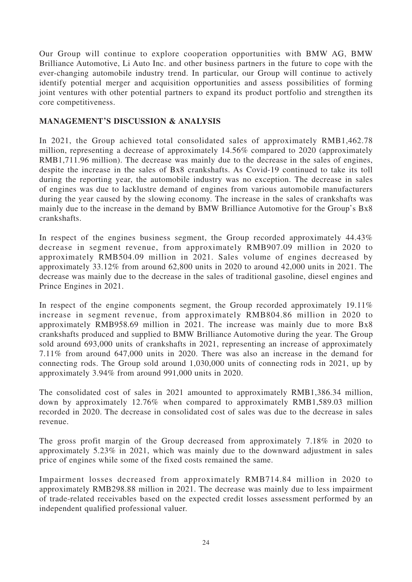Our Group will continue to explore cooperation opportunities with BMW AG, BMW Brilliance Automotive, Li Auto Inc. and other business partners in the future to cope with the ever-changing automobile industry trend. In particular, our Group will continue to actively identify potential merger and acquisition opportunities and assess possibilities of forming joint ventures with other potential partners to expand its product portfolio and strengthen its core competitiveness.

## **MANAGEMENT'S DISCUSSION & ANALYSIS**

In 2021, the Group achieved total consolidated sales of approximately RMB1,462.78 million, representing a decrease of approximately 14.56% compared to 2020 (approximately RMB1,711.96 million). The decrease was mainly due to the decrease in the sales of engines, despite the increase in the sales of Bx8 crankshafts. As Covid-19 continued to take its toll during the reporting year, the automobile industry was no exception. The decrease in sales of engines was due to lacklustre demand of engines from various automobile manufacturers during the year caused by the slowing economy. The increase in the sales of crankshafts was mainly due to the increase in the demand by BMW Brilliance Automotive for the Group's Bx8 crankshafts.

In respect of the engines business segment, the Group recorded approximately 44.43% decrease in segment revenue, from approximately RMB907.09 million in 2020 to approximately RMB504.09 million in 2021. Sales volume of engines decreased by approximately 33.12% from around 62,800 units in 2020 to around 42,000 units in 2021. The decrease was mainly due to the decrease in the sales of traditional gasoline, diesel engines and Prince Engines in 2021.

In respect of the engine components segment, the Group recorded approximately 19.11% increase in segment revenue, from approximately RMB804.86 million in 2020 to approximately RMB958.69 million in 2021. The increase was mainly due to more Bx8 crankshafts produced and supplied to BMW Brilliance Automotive during the year. The Group sold around 693,000 units of crankshafts in 2021, representing an increase of approximately 7.11% from around 647,000 units in 2020. There was also an increase in the demand for connecting rods. The Group sold around 1,030,000 units of connecting rods in 2021, up by approximately 3.94% from around 991,000 units in 2020.

The consolidated cost of sales in 2021 amounted to approximately RMB1,386.34 million, down by approximately 12.76% when compared to approximately RMB1,589.03 million recorded in 2020. The decrease in consolidated cost of sales was due to the decrease in sales revenue.

The gross profit margin of the Group decreased from approximately 7.18% in 2020 to approximately 5.23% in 2021, which was mainly due to the downward adjustment in sales price of engines while some of the fixed costs remained the same.

Impairment losses decreased from approximately RMB714.84 million in 2020 to approximately RMB298.88 million in 2021. The decrease was mainly due to less impairment of trade-related receivables based on the expected credit losses assessment performed by an independent qualified professional valuer.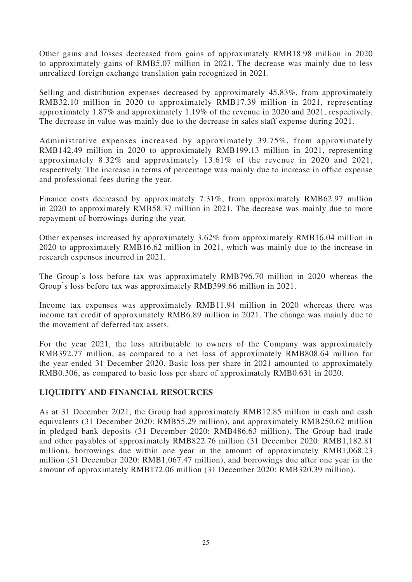Other gains and losses decreased from gains of approximately RMB18.98 million in 2020 to approximately gains of RMB5.07 million in 2021. The decrease was mainly due to less unrealized foreign exchange translation gain recognized in 2021.

Selling and distribution expenses decreased by approximately 45.83%, from approximately RMB32.10 million in 2020 to approximately RMB17.39 million in 2021, representing approximately 1.87% and approximately 1.19% of the revenue in 2020 and 2021, respectively. The decrease in value was mainly due to the decrease in sales staff expense during 2021.

Administrative expenses increased by approximately 39.75%, from approximately RMB142.49 million in 2020 to approximately RMB199.13 million in 2021, representing approximately 8.32% and approximately 13.61% of the revenue in 2020 and 2021, respectively. The increase in terms of percentage was mainly due to increase in office expense and professional fees during the year.

Finance costs decreased by approximately 7.31%, from approximately RMB62.97 million in 2020 to approximately RMB58.37 million in 2021. The decrease was mainly due to more repayment of borrowings during the year.

Other expenses increased by approximately 3.62% from approximately RMB16.04 million in 2020 to approximately RMB16.62 million in 2021, which was mainly due to the increase in research expenses incurred in 2021.

The Group's loss before tax was approximately RMB796.70 million in 2020 whereas the Group's loss before tax was approximately RMB399.66 million in 2021.

Income tax expenses was approximately RMB11.94 million in 2020 whereas there was income tax credit of approximately RMB6.89 million in 2021. The change was mainly due to the movement of deferred tax assets.

For the year 2021, the loss attributable to owners of the Company was approximately RMB392.77 million, as compared to a net loss of approximately RMB808.64 million for the year ended 31 December 2020. Basic loss per share in 2021 amounted to approximately RMB0.306, as compared to basic loss per share of approximately RMB0.631 in 2020.

# **LIQUIDITY AND FINANCIAL RESOURCES**

As at 31 December 2021, the Group had approximately RMB12.85 million in cash and cash equivalents (31 December 2020: RMB55.29 million), and approximately RMB250.62 million in pledged bank deposits (31 December 2020: RMB486.63 million). The Group had trade and other payables of approximately RMB822.76 million (31 December 2020: RMB1,182.81 million), borrowings due within one year in the amount of approximately RMB1,068.23 million (31 December 2020: RMB1,067.47 million), and borrowings due after one year in the amount of approximately RMB172.06 million (31 December 2020: RMB320.39 million).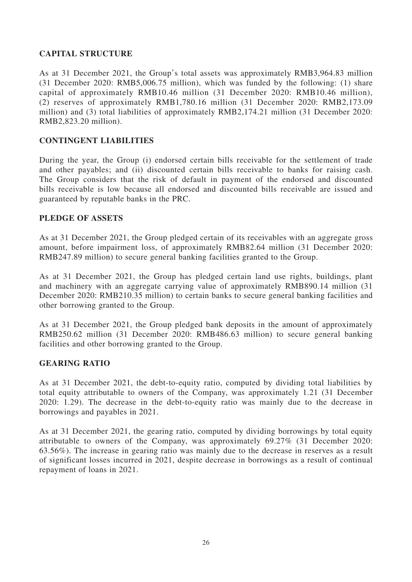# **CAPITAL STRUCTURE**

As at 31 December 2021, the Group's total assets was approximately RMB3,964.83 million (31 December 2020: RMB5,006.75 million), which was funded by the following: (1) share capital of approximately RMB10.46 million (31 December 2020: RMB10.46 million), (2) reserves of approximately RMB1,780.16 million (31 December 2020: RMB2,173.09 million) and (3) total liabilities of approximately RMB2,174.21 million (31 December 2020: RMB2,823.20 million).

# **CONTINGENT LIABILITIES**

During the year, the Group (i) endorsed certain bills receivable for the settlement of trade and other payables; and (ii) discounted certain bills receivable to banks for raising cash. The Group considers that the risk of default in payment of the endorsed and discounted bills receivable is low because all endorsed and discounted bills receivable are issued and guaranteed by reputable banks in the PRC.

### **PLEDGE OF ASSETS**

As at 31 December 2021, the Group pledged certain of its receivables with an aggregate gross amount, before impairment loss, of approximately RMB82.64 million (31 December 2020: RMB247.89 million) to secure general banking facilities granted to the Group.

As at 31 December 2021, the Group has pledged certain land use rights, buildings, plant and machinery with an aggregate carrying value of approximately RMB890.14 million (31 December 2020: RMB210.35 million) to certain banks to secure general banking facilities and other borrowing granted to the Group.

As at 31 December 2021, the Group pledged bank deposits in the amount of approximately RMB250.62 million (31 December 2020: RMB486.63 million) to secure general banking facilities and other borrowing granted to the Group.

# **GEARING RATIO**

As at 31 December 2021, the debt-to-equity ratio, computed by dividing total liabilities by total equity attributable to owners of the Company, was approximately 1.21 (31 December 2020: 1.29). The decrease in the debt-to-equity ratio was mainly due to the decrease in borrowings and payables in 2021.

As at 31 December 2021, the gearing ratio, computed by dividing borrowings by total equity attributable to owners of the Company, was approximately 69.27% (31 December 2020: 63.56%). The increase in gearing ratio was mainly due to the decrease in reserves as a result of significant losses incurred in 2021, despite decrease in borrowings as a result of continual repayment of loans in 2021.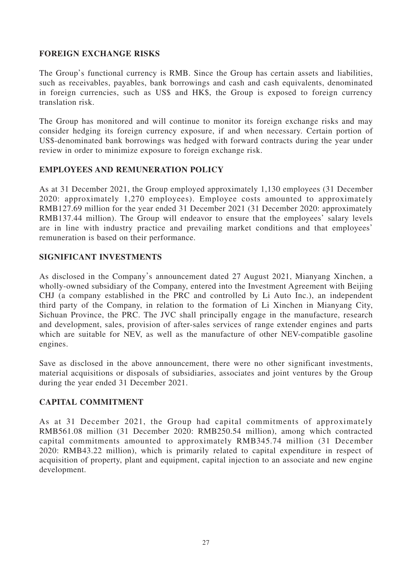# **FOREIGN EXCHANGE RISKS**

The Group's functional currency is RMB. Since the Group has certain assets and liabilities, such as receivables, payables, bank borrowings and cash and cash equivalents, denominated in foreign currencies, such as US\$ and HK\$, the Group is exposed to foreign currency translation risk.

The Group has monitored and will continue to monitor its foreign exchange risks and may consider hedging its foreign currency exposure, if and when necessary. Certain portion of US\$-denominated bank borrowings was hedged with forward contracts during the year under review in order to minimize exposure to foreign exchange risk.

# **EMPLOYEES AND REMUNERATION POLICY**

As at 31 December 2021, the Group employed approximately 1,130 employees (31 December 2020: approximately 1,270 employees). Employee costs amounted to approximately RMB127.69 million for the year ended 31 December 2021 (31 December 2020: approximately RMB137.44 million). The Group will endeavor to ensure that the employees' salary levels are in line with industry practice and prevailing market conditions and that employees' remuneration is based on their performance.

# **SIGNIFICANT INVESTMENTS**

As disclosed in the Company's announcement dated 27 August 2021, Mianyang Xinchen, a wholly-owned subsidiary of the Company, entered into the Investment Agreement with Beijing CHJ (a company established in the PRC and controlled by Li Auto Inc.), an independent third party of the Company, in relation to the formation of Li Xinchen in Mianyang City, Sichuan Province, the PRC. The JVC shall principally engage in the manufacture, research and development, sales, provision of after-sales services of range extender engines and parts which are suitable for NEV, as well as the manufacture of other NEV-compatible gasoline engines.

Save as disclosed in the above announcement, there were no other significant investments, material acquisitions or disposals of subsidiaries, associates and joint ventures by the Group during the year ended 31 December 2021.

# **CAPITAL COMMITMENT**

As at 31 December 2021, the Group had capital commitments of approximately RMB561.08 million (31 December 2020: RMB250.54 million), among which contracted capital commitments amounted to approximately RMB345.74 million (31 December 2020: RMB43.22 million), which is primarily related to capital expenditure in respect of acquisition of property, plant and equipment, capital injection to an associate and new engine development.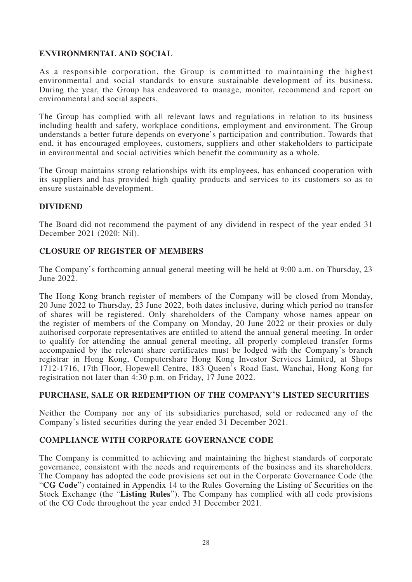## **ENVIRONMENTAL AND SOCIAL**

As a responsible corporation, the Group is committed to maintaining the highest environmental and social standards to ensure sustainable development of its business. During the year, the Group has endeavored to manage, monitor, recommend and report on environmental and social aspects.

The Group has complied with all relevant laws and regulations in relation to its business including health and safety, workplace conditions, employment and environment. The Group understands a better future depends on everyone's participation and contribution. Towards that end, it has encouraged employees, customers, suppliers and other stakeholders to participate in environmental and social activities which benefit the community as a whole.

The Group maintains strong relationships with its employees, has enhanced cooperation with its suppliers and has provided high quality products and services to its customers so as to ensure sustainable development.

### **DIVIDEND**

The Board did not recommend the payment of any dividend in respect of the year ended 31 December 2021 (2020: Nil).

## **CLOSURE OF REGISTER OF MEMBERS**

The Company's forthcoming annual general meeting will be held at 9:00 a.m. on Thursday, 23 June 2022.

The Hong Kong branch register of members of the Company will be closed from Monday, 20 June 2022 to Thursday, 23 June 2022, both dates inclusive, during which period no transfer of shares will be registered. Only shareholders of the Company whose names appear on the register of members of the Company on Monday, 20 June 2022 or their proxies or duly authorised corporate representatives are entitled to attend the annual general meeting. In order to qualify for attending the annual general meeting, all properly completed transfer forms accompanied by the relevant share certificates must be lodged with the Company's branch registrar in Hong Kong, Computershare Hong Kong Investor Services Limited, at Shops 1712-1716, 17th Floor, Hopewell Centre, 183 Queen's Road East, Wanchai, Hong Kong for registration not later than 4:30 p.m. on Friday, 17 June 2022.

### **PURCHASE, SALE OR REDEMPTION OF THE COMPANY'S LISTED SECURITIES**

Neither the Company nor any of its subsidiaries purchased, sold or redeemed any of the Company's listed securities during the year ended 31 December 2021.

### **COMPLIANCE WITH CORPORATE GOVERNANCE CODE**

The Company is committed to achieving and maintaining the highest standards of corporate governance, consistent with the needs and requirements of the business and its shareholders. The Company has adopted the code provisions set out in the Corporate Governance Code (the "**CG Code**") contained in Appendix 14 to the Rules Governing the Listing of Securities on the Stock Exchange (the "**Listing Rules**"). The Company has complied with all code provisions of the CG Code throughout the year ended 31 December 2021.